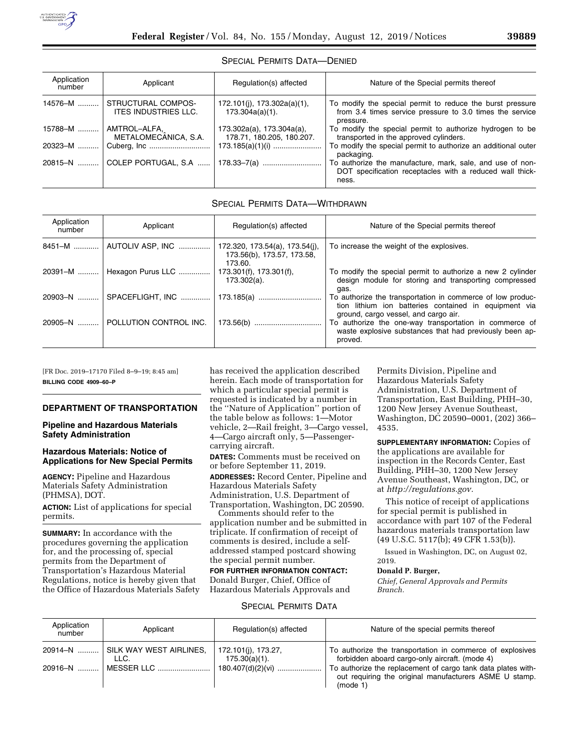## SPECIAL PERMITS DATA—DENIED

| Application<br>number | Applicant                                         | Regulation(s) affected                                 | Nature of the Special permits thereof                                                                                              |
|-----------------------|---------------------------------------------------|--------------------------------------------------------|------------------------------------------------------------------------------------------------------------------------------------|
| 14576-M               | STRUCTURAL COMPOS-<br><b>ITES INDUSTRIES LLC.</b> | 172.101(j), 173.302a(a)(1),<br>$173.304a(a)(1)$ .      | To modify the special permit to reduce the burst pressure<br>from 3.4 times service pressure to 3.0 times the service<br>pressure. |
| $15788 - M$           | AMTROL-ALFA,<br>METALOMECANICA, S.A.              | 173.302a(a), 173.304a(a),<br>178.71, 180.205, 180.207. | To modify the special permit to authorize hydrogen to be<br>transported in the approved cylinders.                                 |
| 20323-M               |                                                   |                                                        | To modify the special permit to authorize an additional outer<br>packaging.                                                        |
|                       | 20815-N    COLEP PORTUGAL, S.A                    |                                                        | To authorize the manufacture, mark, sale, and use of non-<br>DOT specification receptacles with a reduced wall thick-<br>ness.     |

# SPECIAL PERMITS DATA—WITHDRAWN

| Application<br>number | Applicant                         | Regulation(s) affected                                                  | Nature of the Special permits thereof                                                                                                                       |
|-----------------------|-----------------------------------|-------------------------------------------------------------------------|-------------------------------------------------------------------------------------------------------------------------------------------------------------|
|                       | 8451-M    AUTOLIV ASP, INC        | 172.320, 173.54(a), 173.54(j),<br>173.56(b), 173.57, 173.58,<br>173.60. | To increase the weight of the explosives.                                                                                                                   |
|                       | 20391-M    Hexagon Purus LLC      | 173.301(f), 173.301(f),<br>173.302(a).                                  | To modify the special permit to authorize a new 2 cylinder<br>design module for storing and transporting compressed<br>gas.                                 |
|                       | 20903-N    SPACEFLIGHT, INC       | 173.185(a)                                                              | To authorize the transportation in commerce of low produc-<br>tion lithium ion batteries contained in equipment via<br>ground, cargo vessel, and cargo air. |
|                       | 20905-N    POLLUTION CONTROL INC. | 173.56(b)                                                               | To authorize the one-way transportation in commerce of<br>waste explosive substances that had previously been ap-<br>proved.                                |

[FR Doc. 2019–17170 Filed 8–9–19; 8:45 am] **BILLING CODE 4909–60–P** 

## **DEPARTMENT OF TRANSPORTATION**

## **Pipeline and Hazardous Materials Safety Administration**

## **Hazardous Materials: Notice of Applications for New Special Permits**

**AGENCY:** Pipeline and Hazardous Materials Safety Administration (PHMSA), DOT.

**ACTION:** List of applications for special permits.

**SUMMARY:** In accordance with the procedures governing the application for, and the processing of, special permits from the Department of Transportation's Hazardous Material Regulations, notice is hereby given that the Office of Hazardous Materials Safety has received the application described herein. Each mode of transportation for which a particular special permit is requested is indicated by a number in the ''Nature of Application'' portion of the table below as follows: 1—Motor vehicle, 2—Rail freight, 3—Cargo vessel, 4—Cargo aircraft only, 5—Passengercarrying aircraft.

**DATES:** Comments must be received on or before September 11, 2019. **ADDRESSES:** Record Center, Pipeline and Hazardous Materials Safety Administration, U.S. Department of Transportation, Washington, DC 20590.

Comments should refer to the application number and be submitted in triplicate. If confirmation of receipt of comments is desired, include a selfaddressed stamped postcard showing the special permit number. **FOR FURTHER INFORMATION CONTACT:** 

Donald Burger, Chief, Office of Hazardous Materials Approvals and

Permits Division, Pipeline and Hazardous Materials Safety Administration, U.S. Department of Transportation, East Building, PHH–30, 1200 New Jersey Avenue Southeast, Washington, DC 20590–0001, (202) 366– 4535.

**SUPPLEMENTARY INFORMATION:** Copies of the applications are available for inspection in the Records Center, East Building, PHH–30, 1200 New Jersey Avenue Southeast, Washington, DC, or at *[http://regulations.gov.](http://regulations.gov)* 

This notice of receipt of applications for special permit is published in accordance with part 107 of the Federal hazardous materials transportation law (49 U.S.C. 5117(b); 49 CFR 1.53(b)).

Issued in Washington, DC, on August 02, 2019.

## **Donald P. Burger,**

*Chief, General Approvals and Permits Branch.* 

#### SPECIAL PERMITS DATA

| Application<br>number | Applicant                                  | Regulation(s) affected               | Nature of the special permits thereof                                                                                             |
|-----------------------|--------------------------------------------|--------------------------------------|-----------------------------------------------------------------------------------------------------------------------------------|
|                       | 20914-N    SILK WAY WEST AIRLINES,<br>LLC. | 172.101(i), 173.27,<br>175.30(a)(1). | To authorize the transportation in commerce of explosives<br>forbidden aboard cargo-only aircraft. (mode 4)                       |
| $20916 - N$           | MESSER LLC                                 | $180.407(d)(2)(vi)$                  | To authorize the replacement of cargo tank data plates with-<br>out requiring the original manufacturers ASME U stamp.<br>(mod 1) |